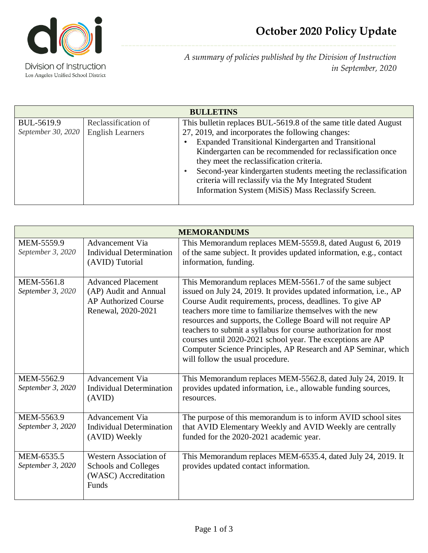

*A summary of policies published by the Division of Instruction in September, 2020*

| <b>BULLETINS</b>                 |                                                |                                                                                                                                                                                                                                                                                        |  |  |
|----------------------------------|------------------------------------------------|----------------------------------------------------------------------------------------------------------------------------------------------------------------------------------------------------------------------------------------------------------------------------------------|--|--|
| BUL-5619.9<br>September 30, 2020 | Reclassification of<br><b>English Learners</b> | This bullet in replaces BUL-5619.8 of the same title dated August<br>27, 2019, and incorporates the following changes:<br>Expanded Transitional Kindergarten and Transitional<br>Kindergarten can be recommended for reclassification once<br>they meet the reclassification criteria. |  |  |
|                                  |                                                | Second-year kindergarten students meeting the reclassification<br>criteria will reclassify via the My Integrated Student<br>Information System (MiSiS) Mass Reclassify Screen.                                                                                                         |  |  |

| <b>MEMORANDUMS</b>              |                                                                                                         |                                                                                                                                                                                                                                                                                                                                                                                                                                                                                                                                                                 |  |  |
|---------------------------------|---------------------------------------------------------------------------------------------------------|-----------------------------------------------------------------------------------------------------------------------------------------------------------------------------------------------------------------------------------------------------------------------------------------------------------------------------------------------------------------------------------------------------------------------------------------------------------------------------------------------------------------------------------------------------------------|--|--|
| MEM-5559.9<br>September 3, 2020 | <b>Advancement Via</b><br><b>Individual Determination</b><br>(AVID) Tutorial                            | This Memorandum replaces MEM-5559.8, dated August 6, 2019<br>of the same subject. It provides updated information, e.g., contact<br>information, funding.                                                                                                                                                                                                                                                                                                                                                                                                       |  |  |
| MEM-5561.8<br>September 3, 2020 | <b>Advanced Placement</b><br>(AP) Audit and Annual<br><b>AP Authorized Course</b><br>Renewal, 2020-2021 | This Memorandum replaces MEM-5561.7 of the same subject<br>issued on July 24, 2019. It provides updated information, i.e., AP<br>Course Audit requirements, process, deadlines. To give AP<br>teachers more time to familiarize themselves with the new<br>resources and supports, the College Board will not require AP<br>teachers to submit a syllabus for course authorization for most<br>courses until 2020-2021 school year. The exceptions are AP<br>Computer Science Principles, AP Research and AP Seminar, which<br>will follow the usual procedure. |  |  |
| MEM-5562.9<br>September 3, 2020 | Advancement Via<br><b>Individual Determination</b><br>(AVID)                                            | This Memorandum replaces MEM-5562.8, dated July 24, 2019. It<br>provides updated information, i.e., allowable funding sources,<br>resources.                                                                                                                                                                                                                                                                                                                                                                                                                    |  |  |
| MEM-5563.9<br>September 3, 2020 | Advancement Via<br>Individual Determination<br>(AVID) Weekly                                            | The purpose of this memorandum is to inform AVID school sites<br>that AVID Elementary Weekly and AVID Weekly are centrally<br>funded for the 2020-2021 academic year.                                                                                                                                                                                                                                                                                                                                                                                           |  |  |
| MEM-6535.5<br>September 3, 2020 | Western Association of<br>Schools and Colleges<br>(WASC) Accreditation<br>Funds                         | This Memorandum replaces MEM-6535.4, dated July 24, 2019. It<br>provides updated contact information.                                                                                                                                                                                                                                                                                                                                                                                                                                                           |  |  |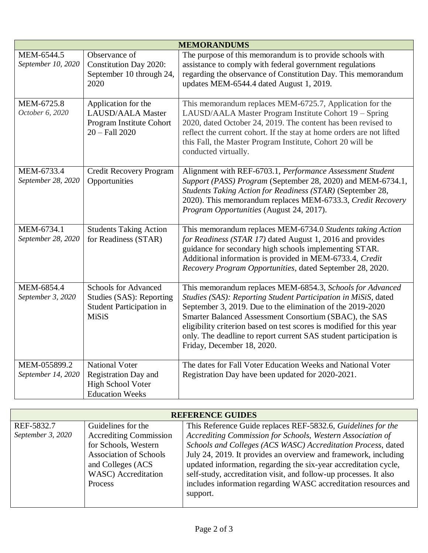| <b>MEMORANDUMS</b>                 |                                                                                                            |                                                                                                                                                                                                                                                                                                                                                                                                                                |  |  |
|------------------------------------|------------------------------------------------------------------------------------------------------------|--------------------------------------------------------------------------------------------------------------------------------------------------------------------------------------------------------------------------------------------------------------------------------------------------------------------------------------------------------------------------------------------------------------------------------|--|--|
| MEM-6544.5<br>September 10, 2020   | Observance of<br><b>Constitution Day 2020:</b><br>September 10 through 24,<br>2020                         | The purpose of this memorandum is to provide schools with<br>assistance to comply with federal government regulations<br>regarding the observance of Constitution Day. This memorandum<br>updates MEM-6544.4 dated August 1, 2019.                                                                                                                                                                                             |  |  |
| MEM-6725.8<br>October 6, 2020      | Application for the<br><b>LAUSD/AALA Master</b><br>Program Institute Cohort<br>$20 - Fall 2020$            | This memorandum replaces MEM-6725.7, Application for the<br>LAUSD/AALA Master Program Institute Cohort 19 - Spring<br>2020, dated October 24, 2019. The content has been revised to<br>reflect the current cohort. If the stay at home orders are not lifted<br>this Fall, the Master Program Institute, Cohort 20 will be<br>conducted virtually.                                                                             |  |  |
| MEM-6733.4<br>September 28, 2020   | Credit Recovery Program<br>Opportunities                                                                   | Alignment with REF-6703.1, Performance Assessment Student<br>Support (PASS) Program (September 28, 2020) and MEM-6734.1,<br>Students Taking Action for Readiness (STAR) (September 28,<br>2020). This memorandum replaces MEM-6733.3, Credit Recovery<br>Program Opportunities (August 24, 2017).                                                                                                                              |  |  |
| MEM-6734.1<br>September 28, 2020   | <b>Students Taking Action</b><br>for Readiness (STAR)                                                      | This memorandum replaces MEM-6734.0 Students taking Action<br>for Readiness (STAR 17) dated August 1, 2016 and provides<br>guidance for secondary high schools implementing STAR.<br>Additional information is provided in MEM-6733.4, Credit<br>Recovery Program Opportunities, dated September 28, 2020.                                                                                                                     |  |  |
| MEM-6854.4<br>September 3, 2020    | <b>Schools for Advanced</b><br>Studies (SAS): Reporting<br><b>Student Participation in</b><br>MiSiS        | This memorandum replaces MEM-6854.3, Schools for Advanced<br>Studies (SAS): Reporting Student Participation in MiSiS, dated<br>September 3, 2019. Due to the elimination of the 2019-2020<br>Smarter Balanced Assessment Consortium (SBAC), the SAS<br>eligibility criterion based on test scores is modified for this year<br>only. The deadline to report current SAS student participation is<br>Friday, December 18, 2020. |  |  |
| MEM-055899.2<br>September 14, 2020 | <b>National Voter</b><br><b>Registration Day and</b><br><b>High School Voter</b><br><b>Education Weeks</b> | The dates for Fall Voter Education Weeks and National Voter<br>Registration Day have been updated for 2020-2021.                                                                                                                                                                                                                                                                                                               |  |  |

| <b>REFERENCE GUIDES</b> |                               |                                                                   |  |  |
|-------------------------|-------------------------------|-------------------------------------------------------------------|--|--|
| REF-5832.7              | Guidelines for the            | This Reference Guide replaces REF-5832.6, Guidelines for the      |  |  |
| September 3, 2020       | <b>Accrediting Commission</b> | Accrediting Commission for Schools, Western Association of        |  |  |
|                         | for Schools, Western          | Schools and Colleges (ACS WASC) Accreditation Process, dated      |  |  |
|                         | <b>Association of Schools</b> | July 24, 2019. It provides an overview and framework, including   |  |  |
|                         | and Colleges (ACS             | updated information, regarding the six-year accreditation cycle,  |  |  |
|                         | WASC) Accreditation           | self-study, accreditation visit, and follow-up processes. It also |  |  |
|                         | Process                       | includes information regarding WASC accreditation resources and   |  |  |
|                         |                               | support.                                                          |  |  |
|                         |                               |                                                                   |  |  |